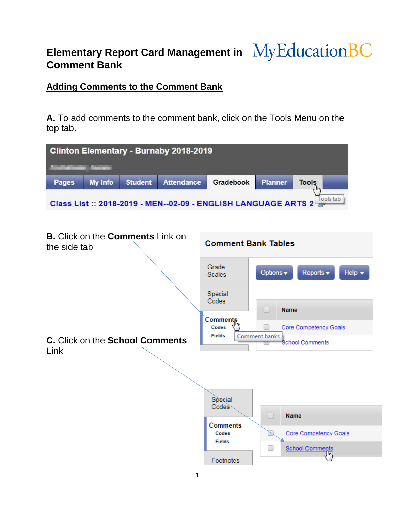# **Elementary Report Card Management in MyEducation BC Comment Bank**

## **Adding Comments to the Comment Bank**

**A.** To add comments to the comment bank, click on the Tools Menu on the top tab.

|                                                                | Clinton Elementary - Burnaby 2018-2019                        |                   |                                    |                       |                                                           |  |
|----------------------------------------------------------------|---------------------------------------------------------------|-------------------|------------------------------------|-----------------------|-----------------------------------------------------------|--|
| <b>The Committee</b>                                           |                                                               |                   |                                    |                       |                                                           |  |
| <b>My Info</b><br>Pages                                        | <b>Student</b>                                                | <b>Attendance</b> | Gradebook                          | <b>Planner</b>        | <b>Tools</b><br>$\mathbb{F}$                              |  |
|                                                                | Class List:: 2018-2019 - MEN--02-09 - ENGLISH LANGUAGE ARTS 2 |                   |                                    |                       | Tools tab                                                 |  |
|                                                                |                                                               |                   |                                    |                       |                                                           |  |
| <b>B.</b> Click on the <b>Comments</b> Link on<br>the side tab |                                                               |                   | <b>Comment Bank Tables</b>         |                       |                                                           |  |
|                                                                |                                                               |                   | Grade<br><b>Scales</b>             | Options v             | Help $\blacktriangledown$<br>Reports $\blacktriangledown$ |  |
|                                                                |                                                               |                   | Special<br>Codes                   | $\Box$<br><b>Name</b> |                                                           |  |
| C. Click on the School Comments<br>Link                        |                                                               |                   | Comments<br>Codes<br><b>Fields</b> | Comment banks         | Core Competency Goals<br><b>School Comments</b>           |  |
|                                                                |                                                               |                   |                                    |                       |                                                           |  |
|                                                                |                                                               |                   | Special<br>Codes                   | $\Box$                | <b>Name</b>                                               |  |
|                                                                |                                                               |                   | Comments<br>Codes<br><b>Fields</b> | $\searrow$            | Core Competency Goals                                     |  |
|                                                                |                                                               |                   | Footnotes                          | $\Box$                | <b>School Comments</b><br>1μη                             |  |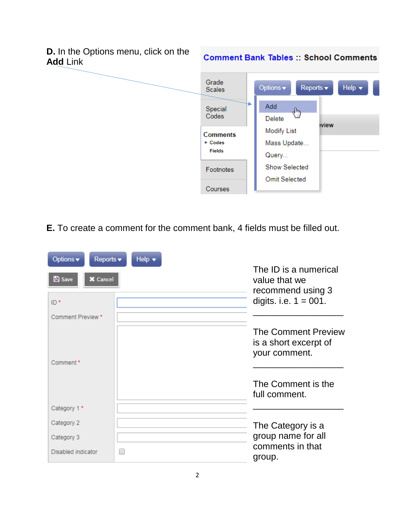

**E.** To create a comment for the comment bank, 4 fields must be filled out.

| Options v<br>Reports v           | Help $\blacktriangledown$ |                                                                      |
|----------------------------------|---------------------------|----------------------------------------------------------------------|
| <b>A</b> Save<br><b>X</b> Cancel |                           | The ID is a numerical<br>value that we<br>recommend using 3          |
| ID*                              |                           | digits. i.e. $1 = 001$ .                                             |
| Comment Preview *                |                           |                                                                      |
| Comment*                         |                           | <b>The Comment Preview</b><br>is a short excerpt of<br>your comment. |
|                                  |                           | The Comment is the<br>full comment.                                  |
| Category 1*                      |                           |                                                                      |
| Category 2                       |                           | The Category is a                                                    |
| Category 3                       |                           | group name for all                                                   |
| Disabled indicator               |                           | comments in that<br>group.                                           |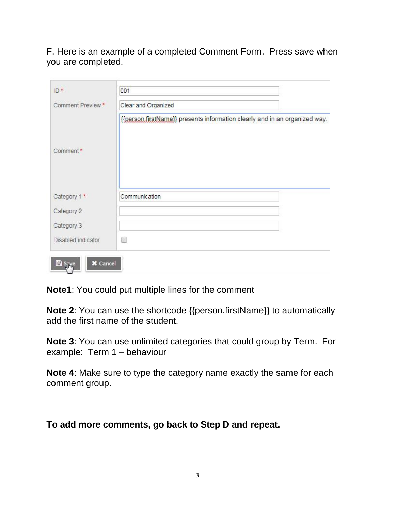#### **F**. Here is an example of a completed Comment Form. Press save when you are completed.

| Comment Preview *  | Clear and Organized                                                        |
|--------------------|----------------------------------------------------------------------------|
|                    | {{person.firstName}} presents information clearly and in an organized way. |
| Comment*           |                                                                            |
| Category 1*        | Communication                                                              |
| Category 2         |                                                                            |
| Category 3         |                                                                            |
| Disabled indicator | <b>List</b>                                                                |

**Note1**: You could put multiple lines for the comment

**Note 2**: You can use the shortcode {{person.firstName}} to automatically add the first name of the student.

**Note 3**: You can use unlimited categories that could group by Term. For example: Term 1 – behaviour

**Note 4**: Make sure to type the category name exactly the same for each comment group.

**To add more comments, go back to Step D and repeat.**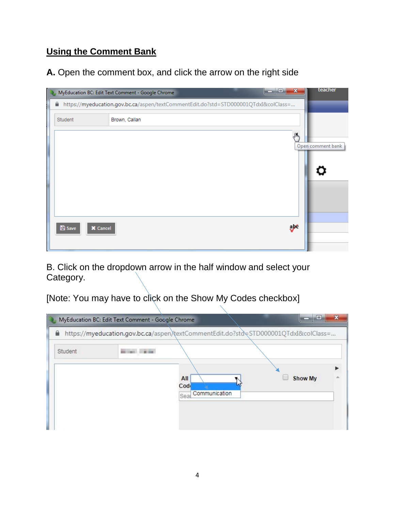# **Using the Comment Bank**

### **A.** Open the comment box, and click the arrow on the right side

|   |                                  | $\mathbf{x}$<br>o<br>MyEducation BC: Edit Text Comment - Google Chrome              | teacher           |
|---|----------------------------------|-------------------------------------------------------------------------------------|-------------------|
| € |                                  | https://myeducation.gov.bc.ca/aspen/textCommentEdit.do?std=STD000001QTdxI&colClass= |                   |
|   | Student                          | Brown, Callan                                                                       |                   |
|   |                                  | "⊪⊾                                                                                 | Open comment bank |
|   |                                  |                                                                                     |                   |
|   |                                  |                                                                                     |                   |
|   | <b>A</b> Save<br>$\times$ Cancel | abt                                                                                 |                   |
|   |                                  |                                                                                     |                   |

B. Click on the dropdown arrow in the half window and select your Category.

[Note: You may have to click on the Show My Codes checkbox]

| ≘       |                              | https://myeducation.gov.bc.ca/aspen/textCommentEdit.do?std=STD000001QTdxI&colClass= |  |
|---------|------------------------------|-------------------------------------------------------------------------------------|--|
| Student |                              |                                                                                     |  |
|         | All                          | <b>Show My</b>                                                                      |  |
|         | Cod<br>Communication<br>Seal |                                                                                     |  |
|         |                              |                                                                                     |  |